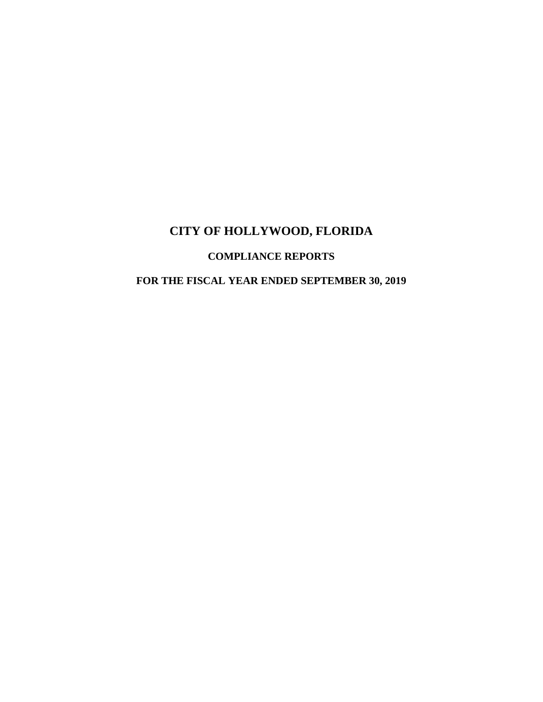# **COMPLIANCE REPORTS**

# **FOR THE FISCAL YEAR ENDED SEPTEMBER 30, 2019**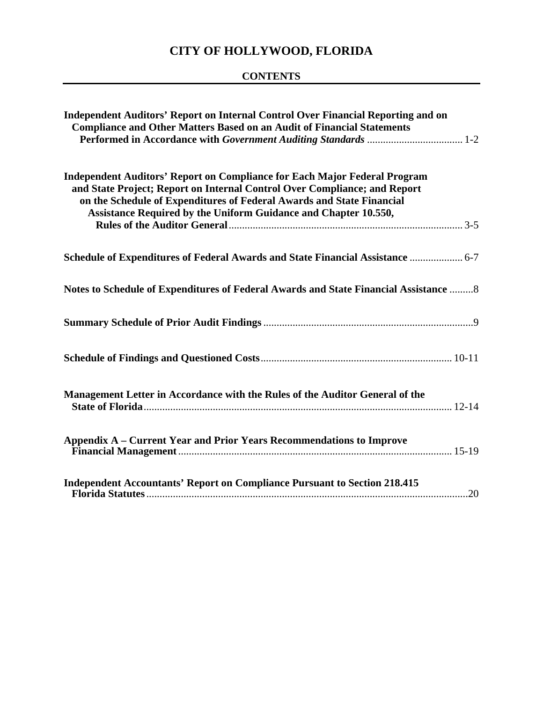# **CONTENTS**

| Independent Auditors' Report on Internal Control Over Financial Reporting and on<br><b>Compliance and Other Matters Based on an Audit of Financial Statements</b>                                                                                                                                         |
|-----------------------------------------------------------------------------------------------------------------------------------------------------------------------------------------------------------------------------------------------------------------------------------------------------------|
| <b>Independent Auditors' Report on Compliance for Each Major Federal Program</b><br>and State Project; Report on Internal Control Over Compliance; and Report<br>on the Schedule of Expenditures of Federal Awards and State Financial<br>Assistance Required by the Uniform Guidance and Chapter 10.550, |
| Schedule of Expenditures of Federal Awards and State Financial Assistance  6-7                                                                                                                                                                                                                            |
| Notes to Schedule of Expenditures of Federal Awards and State Financial Assistance  8                                                                                                                                                                                                                     |
|                                                                                                                                                                                                                                                                                                           |
|                                                                                                                                                                                                                                                                                                           |
| Management Letter in Accordance with the Rules of the Auditor General of the                                                                                                                                                                                                                              |
| Appendix A – Current Year and Prior Years Recommendations to Improve                                                                                                                                                                                                                                      |
| <b>Independent Accountants' Report on Compliance Pursuant to Section 218.415</b>                                                                                                                                                                                                                          |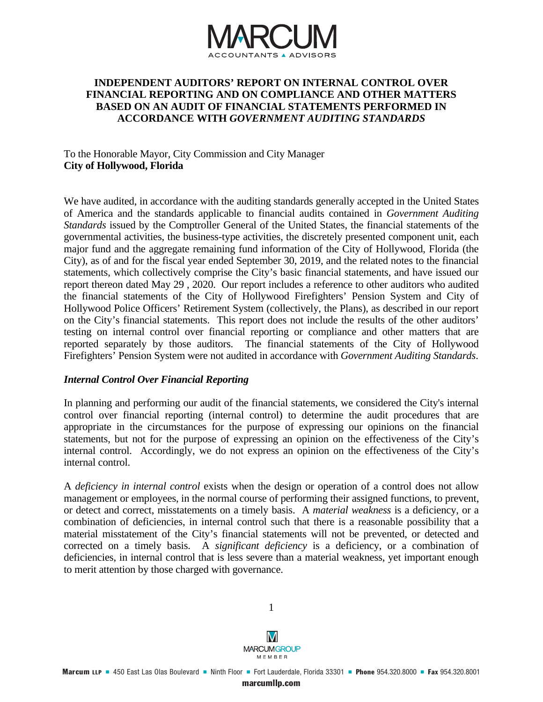

# **INDEPENDENT AUDITORS' REPORT ON INTERNAL CONTROL OVER FINANCIAL REPORTING AND ON COMPLIANCE AND OTHER MATTERS BASED ON AN AUDIT OF FINANCIAL STATEMENTS PERFORMED IN ACCORDANCE WITH** *GOVERNMENT AUDITING STANDARDS*

# To the Honorable Mayor, City Commission and City Manager **City of Hollywood, Florida**

We have audited, in accordance with the auditing standards generally accepted in the United States of America and the standards applicable to financial audits contained in *Government Auditing Standards* issued by the Comptroller General of the United States, the financial statements of the governmental activities, the business-type activities, the discretely presented component unit, each major fund and the aggregate remaining fund information of the City of Hollywood, Florida (the City), as of and for the fiscal year ended September 30, 2019, and the related notes to the financial statements, which collectively comprise the City's basic financial statements, and have issued our report thereon dated May 29 , 2020. Our report includes a reference to other auditors who audited the financial statements of the City of Hollywood Firefighters' Pension System and City of Hollywood Police Officers' Retirement System (collectively, the Plans), as described in our report on the City's financial statements. This report does not include the results of the other auditors' testing on internal control over financial reporting or compliance and other matters that are reported separately by those auditors. The financial statements of the City of Hollywood Firefighters' Pension System were not audited in accordance with *Government Auditing Standards*.

# *Internal Control Over Financial Reporting*

In planning and performing our audit of the financial statements, we considered the City's internal control over financial reporting (internal control) to determine the audit procedures that are appropriate in the circumstances for the purpose of expressing our opinions on the financial statements, but not for the purpose of expressing an opinion on the effectiveness of the City's internal control. Accordingly, we do not express an opinion on the effectiveness of the City's internal control.

A *deficiency in internal control* exists when the design or operation of a control does not allow management or employees, in the normal course of performing their assigned functions, to prevent, or detect and correct, misstatements on a timely basis. A *material weakness* is a deficiency, or a combination of deficiencies, in internal control such that there is a reasonable possibility that a material misstatement of the City's financial statements will not be prevented, or detected and corrected on a timely basis. A *significant deficiency* is a deficiency, or a combination of deficiencies, in internal control that is less severe than a material weakness, yet important enough to merit attention by those charged with governance.



1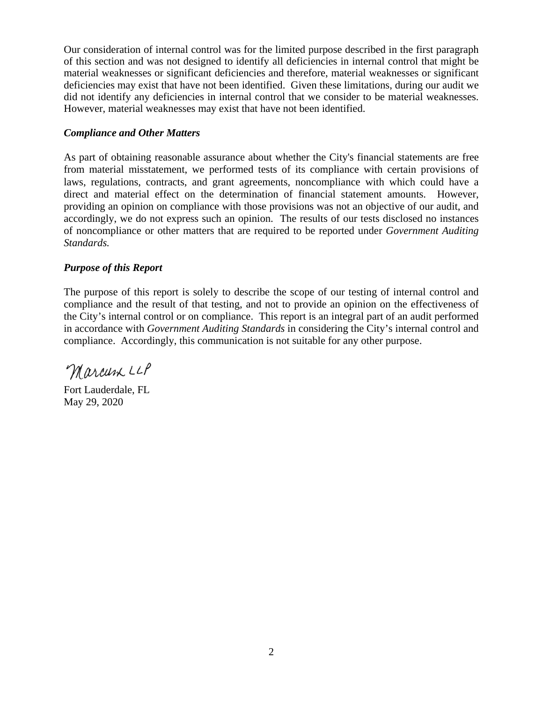Our consideration of internal control was for the limited purpose described in the first paragraph of this section and was not designed to identify all deficiencies in internal control that might be material weaknesses or significant deficiencies and therefore, material weaknesses or significant deficiencies may exist that have not been identified. Given these limitations, during our audit we did not identify any deficiencies in internal control that we consider to be material weaknesses. However, material weaknesses may exist that have not been identified.

# *Compliance and Other Matters*

As part of obtaining reasonable assurance about whether the City's financial statements are free from material misstatement, we performed tests of its compliance with certain provisions of laws, regulations, contracts, and grant agreements, noncompliance with which could have a direct and material effect on the determination of financial statement amounts. However, providing an opinion on compliance with those provisions was not an objective of our audit, and accordingly, we do not express such an opinion. The results of our tests disclosed no instances of noncompliance or other matters that are required to be reported under *Government Auditing Standards.* 

# *Purpose of this Report*

The purpose of this report is solely to describe the scope of our testing of internal control and compliance and the result of that testing, and not to provide an opinion on the effectiveness of the City's internal control or on compliance. This report is an integral part of an audit performed in accordance with *Government Auditing Standards* in considering the City's internal control and compliance. Accordingly, this communication is not suitable for any other purpose.

Marcum LLP

Fort Lauderdale, FL May 29, 2020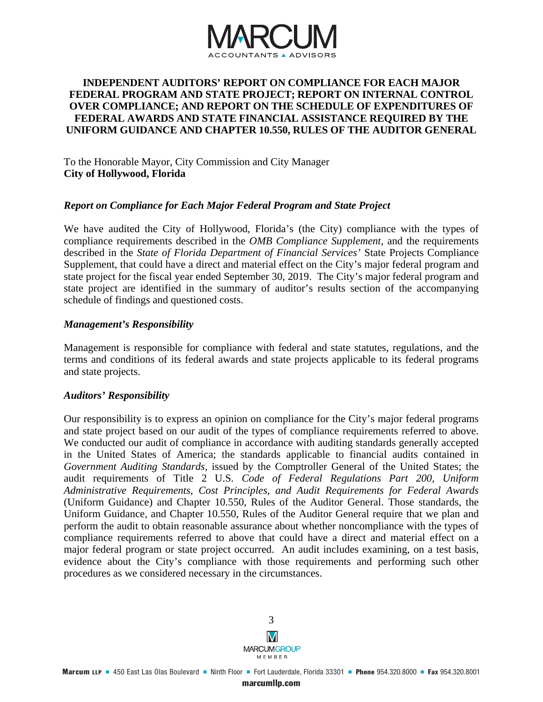

### **INDEPENDENT AUDITORS' REPORT ON COMPLIANCE FOR EACH MAJOR FEDERAL PROGRAM AND STATE PROJECT; REPORT ON INTERNAL CONTROL OVER COMPLIANCE; AND REPORT ON THE SCHEDULE OF EXPENDITURES OF FEDERAL AWARDS AND STATE FINANCIAL ASSISTANCE REQUIRED BY THE UNIFORM GUIDANCE AND CHAPTER 10.550, RULES OF THE AUDITOR GENERAL**

To the Honorable Mayor, City Commission and City Manager **City of Hollywood, Florida** 

#### *Report on Compliance for Each Major Federal Program and State Project*

We have audited the City of Hollywood, Florida's (the City) compliance with the types of compliance requirements described in the *OMB Compliance Supplement,* and the requirements described in the *State of Florida Department of Financial Services'* State Projects Compliance Supplement, that could have a direct and material effect on the City's major federal program and state project for the fiscal year ended September 30, 2019. The City's major federal program and state project are identified in the summary of auditor's results section of the accompanying schedule of findings and questioned costs.

#### *Management's Responsibility*

Management is responsible for compliance with federal and state statutes, regulations, and the terms and conditions of its federal awards and state projects applicable to its federal programs and state projects.

# *Auditors' Responsibility*

Our responsibility is to express an opinion on compliance for the City's major federal programs and state project based on our audit of the types of compliance requirements referred to above. We conducted our audit of compliance in accordance with auditing standards generally accepted in the United States of America; the standards applicable to financial audits contained in *Government Auditing Standards,* issued by the Comptroller General of the United States; the audit requirements of Title 2 U.S. *Code of Federal Regulations Part 200, Uniform Administrative Requirements, Cost Principles, and Audit Requirements for Federal Awards*  (Uniform Guidance) and Chapter 10.550, Rules of the Auditor General. Those standards, the Uniform Guidance, and Chapter 10.550, Rules of the Auditor General require that we plan and perform the audit to obtain reasonable assurance about whether noncompliance with the types of compliance requirements referred to above that could have a direct and material effect on a major federal program or state project occurred. An audit includes examining, on a test basis, evidence about the City's compliance with those requirements and performing such other procedures as we considered necessary in the circumstances.

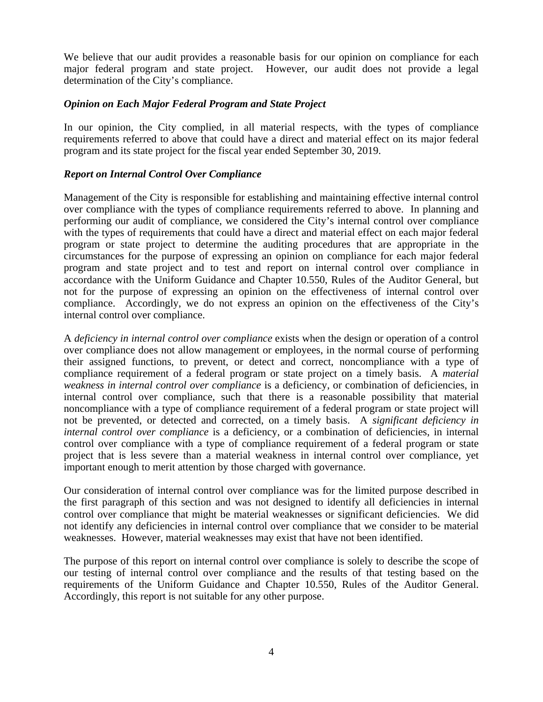We believe that our audit provides a reasonable basis for our opinion on compliance for each major federal program and state project. However, our audit does not provide a legal determination of the City's compliance.

# *Opinion on Each Major Federal Program and State Project*

In our opinion, the City complied, in all material respects, with the types of compliance requirements referred to above that could have a direct and material effect on its major federal program and its state project for the fiscal year ended September 30, 2019.

# *Report on Internal Control Over Compliance*

Management of the City is responsible for establishing and maintaining effective internal control over compliance with the types of compliance requirements referred to above. In planning and performing our audit of compliance, we considered the City's internal control over compliance with the types of requirements that could have a direct and material effect on each major federal program or state project to determine the auditing procedures that are appropriate in the circumstances for the purpose of expressing an opinion on compliance for each major federal program and state project and to test and report on internal control over compliance in accordance with the Uniform Guidance and Chapter 10.550, Rules of the Auditor General, but not for the purpose of expressing an opinion on the effectiveness of internal control over compliance. Accordingly, we do not express an opinion on the effectiveness of the City's internal control over compliance.

A *deficiency in internal control over compliance* exists when the design or operation of a control over compliance does not allow management or employees, in the normal course of performing their assigned functions, to prevent, or detect and correct, noncompliance with a type of compliance requirement of a federal program or state project on a timely basis. A *material weakness in internal control over compliance* is a deficiency, or combination of deficiencies, in internal control over compliance, such that there is a reasonable possibility that material noncompliance with a type of compliance requirement of a federal program or state project will not be prevented, or detected and corrected, on a timely basis. A *significant deficiency in internal control over compliance* is a deficiency, or a combination of deficiencies, in internal control over compliance with a type of compliance requirement of a federal program or state project that is less severe than a material weakness in internal control over compliance, yet important enough to merit attention by those charged with governance.

Our consideration of internal control over compliance was for the limited purpose described in the first paragraph of this section and was not designed to identify all deficiencies in internal control over compliance that might be material weaknesses or significant deficiencies. We did not identify any deficiencies in internal control over compliance that we consider to be material weaknesses. However, material weaknesses may exist that have not been identified.

The purpose of this report on internal control over compliance is solely to describe the scope of our testing of internal control over compliance and the results of that testing based on the requirements of the Uniform Guidance and Chapter 10.550, Rules of the Auditor General. Accordingly, this report is not suitable for any other purpose.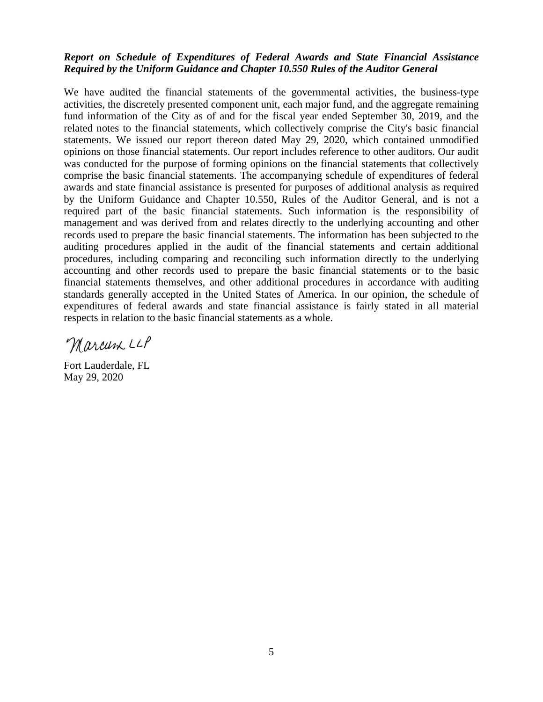# *Report on Schedule of Expenditures of Federal Awards and State Financial Assistance Required by the Uniform Guidance and Chapter 10.550 Rules of the Auditor General*

We have audited the financial statements of the governmental activities, the business-type activities, the discretely presented component unit, each major fund, and the aggregate remaining fund information of the City as of and for the fiscal year ended September 30, 2019, and the related notes to the financial statements, which collectively comprise the City's basic financial statements. We issued our report thereon dated May 29, 2020, which contained unmodified opinions on those financial statements. Our report includes reference to other auditors. Our audit was conducted for the purpose of forming opinions on the financial statements that collectively comprise the basic financial statements. The accompanying schedule of expenditures of federal awards and state financial assistance is presented for purposes of additional analysis as required by the Uniform Guidance and Chapter 10.550, Rules of the Auditor General, and is not a required part of the basic financial statements. Such information is the responsibility of management and was derived from and relates directly to the underlying accounting and other records used to prepare the basic financial statements. The information has been subjected to the auditing procedures applied in the audit of the financial statements and certain additional procedures, including comparing and reconciling such information directly to the underlying accounting and other records used to prepare the basic financial statements or to the basic financial statements themselves, and other additional procedures in accordance with auditing standards generally accepted in the United States of America. In our opinion, the schedule of expenditures of federal awards and state financial assistance is fairly stated in all material respects in relation to the basic financial statements as a whole.

Marcum LLP

Fort Lauderdale, FL May 29, 2020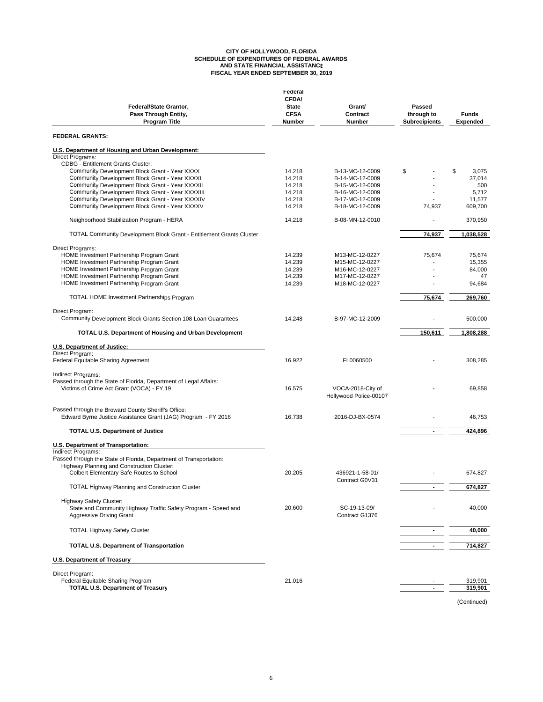# **CITY OF HOLLYWOOD, FLORIDA SCHEDULE OF EXPENDITURES OF FEDERAL AWARDS AND STATE FINANCIAL ASSISTANCE FISCAL YEAR ENDED SEPTEMBER 30, 2019**

| Federal/State Grantor,<br>Pass Through Entity,<br><b>Program Title</b>                                                               | Federal<br><b>CFDA/</b><br><b>State</b><br><b>CFSA</b><br>Number | Grant/<br>Contract<br>Number                | Passed<br>through to<br><b>Subrecipients</b> | <b>Funds</b><br>Expended |
|--------------------------------------------------------------------------------------------------------------------------------------|------------------------------------------------------------------|---------------------------------------------|----------------------------------------------|--------------------------|
| <b>FEDERAL GRANTS:</b>                                                                                                               |                                                                  |                                             |                                              |                          |
| U.S. Department of Housing and Urban Development:                                                                                    |                                                                  |                                             |                                              |                          |
| <b>Direct Programs:</b><br><b>CDBG - Entitlement Grants Cluster:</b>                                                                 |                                                                  |                                             |                                              |                          |
| Community Development Block Grant - Year XXXX                                                                                        | 14.218                                                           | B-13-MC-12-0009                             | \$                                           | \$<br>3.075              |
| Community Development Block Grant - Year XXXXI                                                                                       | 14.218                                                           | B-14-MC-12-0009                             |                                              | 37,014                   |
| Community Development Block Grant - Year XXXXII                                                                                      | 14.218                                                           | B-15-MC-12-0009                             |                                              | 500                      |
| Community Development Block Grant - Year XXXXIII                                                                                     | 14.218                                                           | B-16-MC-12-0009                             |                                              | 5,712                    |
| Community Development Block Grant - Year XXXXIV                                                                                      | 14.218                                                           | B-17-MC-12-0009                             |                                              | 11,577                   |
| Community Development Block Grant - Year XXXXV                                                                                       | 14.218                                                           | B-18-MC-12-0009                             | 74,937                                       | 609,700                  |
| Neighborhood Stabilization Program - HERA                                                                                            | 14.218                                                           | B-08-MN-12-0010                             |                                              | 370,950                  |
| <b>TOTAL Community Development Block Grant - Entitlement Grants Cluster</b>                                                          |                                                                  |                                             | 74,937                                       | 1,038,528                |
| Direct Programs:                                                                                                                     |                                                                  |                                             |                                              |                          |
| HOME Investment Partnership Program Grant                                                                                            | 14.239                                                           | M13-MC-12-0227                              | 75,674                                       | 75,674                   |
| HOME Investment Partnership Program Grant                                                                                            | 14.239                                                           | M15-MC-12-0227                              |                                              | 15,355                   |
| HOME Investment Partnership Program Grant                                                                                            | 14.239                                                           | M16-MC-12-0227                              |                                              | 84,000                   |
| HOME Investment Partnership Program Grant                                                                                            | 14.239                                                           | M17-MC-12-0227                              |                                              | 47                       |
| HOME Investment Partnership Program Grant                                                                                            | 14.239                                                           | M18-MC-12-0227                              |                                              | 94,684                   |
| <b>TOTAL HOME Investment Partnerships Program</b>                                                                                    |                                                                  |                                             | 75,674                                       | 269,760                  |
| Direct Program:                                                                                                                      |                                                                  |                                             |                                              |                          |
| Community Development Block Grants Section 108 Loan Guarantees                                                                       | 14.248                                                           | B-97-MC-12-2009                             |                                              | 500,000                  |
| <b>TOTAL U.S. Department of Housing and Urban Development</b>                                                                        |                                                                  |                                             | 150.611                                      | 1,808,288                |
| U.S. Department of Justice:                                                                                                          |                                                                  |                                             |                                              |                          |
| Direct Program:<br>Federal Equitable Sharing Agreement                                                                               | 16.922                                                           | FL0060500                                   |                                              | 308,285                  |
| Indirect Programs:<br>Passed through the State of Florida, Department of Legal Affairs:<br>Victims of Crime Act Grant (VOCA) - FY 19 | 16.575                                                           | VOCA-2018-City of<br>Hollywood Police-00107 |                                              | 69,858                   |
| Passed through the Broward County Sheriff's Office:<br>Edward Byrne Justice Assistance Grant (JAG) Program - FY 2016                 | 16.738                                                           | 2016-DJ-BX-0574                             |                                              | 46,753                   |
| <b>TOTAL U.S. Department of Justice</b>                                                                                              |                                                                  |                                             | $\sim$                                       | 424,896                  |
| U.S. Department of Transportation:                                                                                                   |                                                                  |                                             |                                              |                          |
| Indirect Programs:<br>Passed through the State of Florida, Department of Transportation:                                             |                                                                  |                                             |                                              |                          |
| Highway Planning and Construction Cluster:                                                                                           |                                                                  |                                             |                                              |                          |
| Colbert Elementary Safe Routes to School                                                                                             | 20.205                                                           | 436921-1-58-01/                             |                                              | 674,827                  |
| <b>TOTAL Highway Planning and Construction Cluster</b>                                                                               |                                                                  | Contract G0V31                              |                                              | 674,827                  |
|                                                                                                                                      |                                                                  |                                             |                                              |                          |
| <b>Highway Safety Cluster:</b><br>State and Community Highway Traffic Safety Program - Speed and<br><b>Aggressive Driving Grant</b>  | 20.600                                                           | SC-19-13-09/<br>Contract G1376              |                                              | 40,000                   |
| <b>TOTAL Highway Safety Cluster</b>                                                                                                  |                                                                  |                                             | $\blacksquare$                               | 40,000                   |
| <b>TOTAL U.S. Department of Transportation</b>                                                                                       |                                                                  |                                             |                                              | 714,827                  |
| U.S. Department of Treasury                                                                                                          |                                                                  |                                             |                                              |                          |
|                                                                                                                                      |                                                                  |                                             |                                              |                          |
| Direct Program:                                                                                                                      |                                                                  |                                             |                                              |                          |
| Federal Equitable Sharing Program                                                                                                    | 21.016                                                           |                                             |                                              | 319,901                  |
| <b>TOTAL U.S. Department of Treasury</b>                                                                                             |                                                                  |                                             |                                              | 319,901                  |
|                                                                                                                                      |                                                                  |                                             |                                              | (Continued)              |

6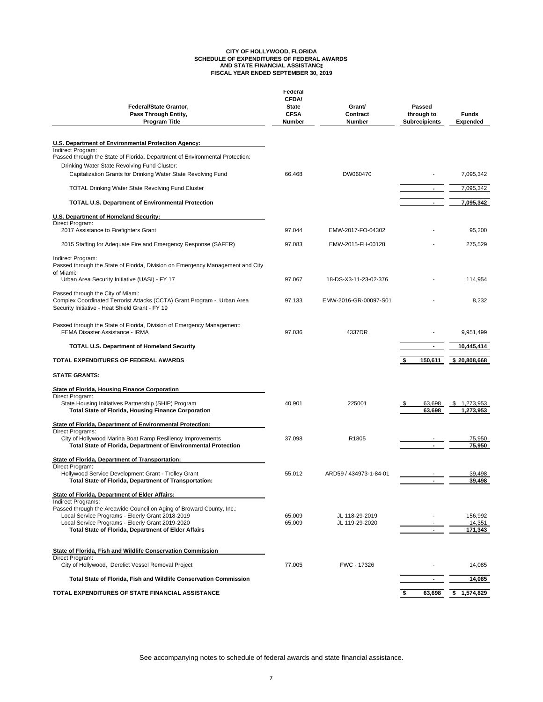# **CITY OF HOLLYWOOD, FLORIDA SCHEDULE OF EXPENDITURES OF FEDERAL AWARDS AND STATE FINANCIAL ASSISTANCE FISCAL YEAR ENDED SEPTEMBER 30, 2019**

| Federal/State Grantor,<br>Pass Through Entity,<br><b>Program Title</b>                                                                                          | Federal<br><b>CFDA/</b><br><b>State</b><br><b>CFSA</b><br>Number | Grant/<br>Contract<br>Number     | Passed<br>through to<br><b>Subrecipients</b> | <b>Funds</b><br><b>Expended</b> |
|-----------------------------------------------------------------------------------------------------------------------------------------------------------------|------------------------------------------------------------------|----------------------------------|----------------------------------------------|---------------------------------|
| U.S. Department of Environmental Protection Agency:<br>Indirect Program:                                                                                        |                                                                  |                                  |                                              |                                 |
| Passed through the State of Florida, Department of Environmental Protection:<br>Drinking Water State Revolving Fund Cluster:                                    |                                                                  |                                  |                                              |                                 |
| Capitalization Grants for Drinking Water State Revolving Fund                                                                                                   | 66.468                                                           | DW060470                         |                                              | 7,095,342                       |
| <b>TOTAL Drinking Water State Revolving Fund Cluster</b>                                                                                                        |                                                                  |                                  |                                              | 7,095,342                       |
| <b>TOTAL U.S. Department of Environmental Protection</b>                                                                                                        |                                                                  |                                  |                                              | 7,095,342                       |
| U.S. Department of Homeland Security:                                                                                                                           |                                                                  |                                  |                                              |                                 |
| Direct Program:                                                                                                                                                 |                                                                  |                                  |                                              |                                 |
| 2017 Assistance to Firefighters Grant                                                                                                                           | 97.044                                                           | EMW-2017-FO-04302                |                                              | 95,200                          |
| 2015 Staffing for Adequate Fire and Emergency Response (SAFER)                                                                                                  | 97.083                                                           | EMW-2015-FH-00128                |                                              | 275,529                         |
| Indirect Program:<br>Passed through the State of Florida, Division on Emergency Management and City<br>of Miami:                                                |                                                                  |                                  |                                              |                                 |
| Urban Area Security Initiative (UASI) - FY 17                                                                                                                   | 97.067                                                           | 18-DS-X3-11-23-02-376            |                                              | 114,954                         |
| Passed through the City of Miami:<br>Complex Coordinated Terrorist Attacks (CCTA) Grant Program - Urban Area<br>Security Initiative - Heat Shield Grant - FY 19 | 97.133                                                           | EMW-2016-GR-00097-S01            |                                              | 8,232                           |
| Passed through the State of Florida, Division of Emergency Management:<br>FEMA Disaster Assistance - IRMA                                                       | 97.036                                                           | 4337DR                           |                                              | 9,951,499                       |
| <b>TOTAL U.S. Department of Homeland Security</b>                                                                                                               |                                                                  |                                  | $\blacksquare$                               | 10,445,414                      |
| <b>TOTAL EXPENDITURES OF FEDERAL AWARDS</b>                                                                                                                     |                                                                  |                                  | 150,611                                      | \$20,808,668                    |
| <b>STATE GRANTS:</b>                                                                                                                                            |                                                                  |                                  |                                              |                                 |
| <b>State of Florida, Housing Finance Corporation</b>                                                                                                            |                                                                  |                                  |                                              |                                 |
| Direct Program:<br>State Housing Initiatives Partnership (SHIP) Program<br><b>Total State of Florida, Housing Finance Corporation</b>                           | 40.901                                                           | 225001                           | 63,698<br>63.698                             | 1,273,953<br>1,273,953          |
| State of Florida, Department of Environmental Protection:                                                                                                       |                                                                  |                                  |                                              |                                 |
| <b>Direct Programs:</b><br>City of Hollywood Marina Boat Ramp Resiliency Improvements                                                                           | 37.098                                                           | R1805                            |                                              | 75,950                          |
| Total State of Florida, Department of Environmental Protection                                                                                                  |                                                                  |                                  |                                              | 75,950                          |
| State of Florida, Department of Transportation:                                                                                                                 |                                                                  |                                  |                                              |                                 |
| Direct Program:<br>Hollywood Service Development Grant - Trolley Grant<br>Total State of Florida, Department of Transportation:                                 | 55.012                                                           | ARD59 / 434973-1-84-01           | $\sim$                                       | 39,498<br>39,498                |
|                                                                                                                                                                 |                                                                  |                                  |                                              |                                 |
| State of Florida, Department of Elder Affairs:<br>Indirect Programs:                                                                                            |                                                                  |                                  |                                              |                                 |
| Passed through the Areawide Council on Aging of Broward County, Inc.:                                                                                           |                                                                  |                                  |                                              |                                 |
| Local Service Programs - Elderly Grant 2018-2019<br>Local Service Programs - Elderly Grant 2019-2020                                                            | 65.009<br>65.009                                                 | JL 118-29-2019<br>JL 119-29-2020 |                                              | 156,992<br>14,351               |
| Total State of Florida, Department of Elder Affairs                                                                                                             |                                                                  |                                  |                                              | 171,343                         |
| State of Florida, Fish and Wildlife Conservation Commission                                                                                                     |                                                                  |                                  |                                              |                                 |
| Direct Program:<br>City of Hollywood, Derelict Vessel Removal Project                                                                                           | 77.005                                                           | FWC - 17326                      |                                              | 14,085                          |
| Total State of Florida, Fish and Wildlife Conservation Commission                                                                                               |                                                                  |                                  |                                              | 14,085                          |
| TOTAL EXPENDITURES OF STATE FINANCIAL ASSISTANCE                                                                                                                |                                                                  |                                  | 63,698                                       | 1,574,829                       |
|                                                                                                                                                                 |                                                                  |                                  |                                              |                                 |

See accompanying notes to schedule of federal awards and state financial assistance.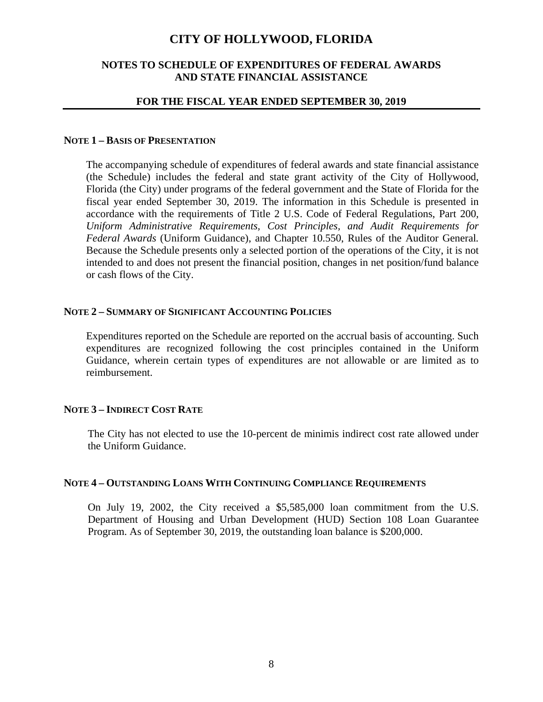# **NOTES TO SCHEDULE OF EXPENDITURES OF FEDERAL AWARDS AND STATE FINANCIAL ASSISTANCE**

#### **FOR THE FISCAL YEAR ENDED SEPTEMBER 30, 2019**

#### **NOTE 1 – BASIS OF PRESENTATION**

The accompanying schedule of expenditures of federal awards and state financial assistance (the Schedule) includes the federal and state grant activity of the City of Hollywood, Florida (the City) under programs of the federal government and the State of Florida for the fiscal year ended September 30, 2019. The information in this Schedule is presented in accordance with the requirements of Title 2 U.S. Code of Federal Regulations, Part 200*, Uniform Administrative Requirements, Cost Principles, and Audit Requirements for Federal Awards* (Uniform Guidance), and Chapter 10.550, Rules of the Auditor General*.* Because the Schedule presents only a selected portion of the operations of the City, it is not intended to and does not present the financial position, changes in net position/fund balance or cash flows of the City.

#### **NOTE 2 – SUMMARY OF SIGNIFICANT ACCOUNTING POLICIES**

Expenditures reported on the Schedule are reported on the accrual basis of accounting. Such expenditures are recognized following the cost principles contained in the Uniform Guidance, wherein certain types of expenditures are not allowable or are limited as to reimbursement.

# **NOTE 3 – INDIRECT COST RATE**

The City has not elected to use the 10-percent de minimis indirect cost rate allowed under the Uniform Guidance.

### **NOTE 4 – OUTSTANDING LOANS WITH CONTINUING COMPLIANCE REQUIREMENTS**

On July 19, 2002, the City received a \$5,585,000 loan commitment from the U.S. Department of Housing and Urban Development (HUD) Section 108 Loan Guarantee Program. As of September 30, 2019, the outstanding loan balance is \$200,000.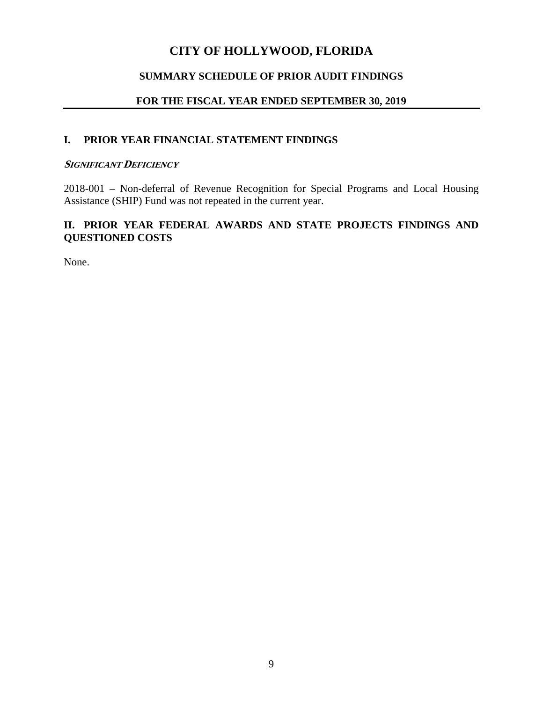# **SUMMARY SCHEDULE OF PRIOR AUDIT FINDINGS**

# **FOR THE FISCAL YEAR ENDED SEPTEMBER 30, 2019**

# **I. PRIOR YEAR FINANCIAL STATEMENT FINDINGS**

#### **SIGNIFICANT DEFICIENCY**

2018-001 – Non-deferral of Revenue Recognition for Special Programs and Local Housing Assistance (SHIP) Fund was not repeated in the current year.

# **II. PRIOR YEAR FEDERAL AWARDS AND STATE PROJECTS FINDINGS AND QUESTIONED COSTS**

None.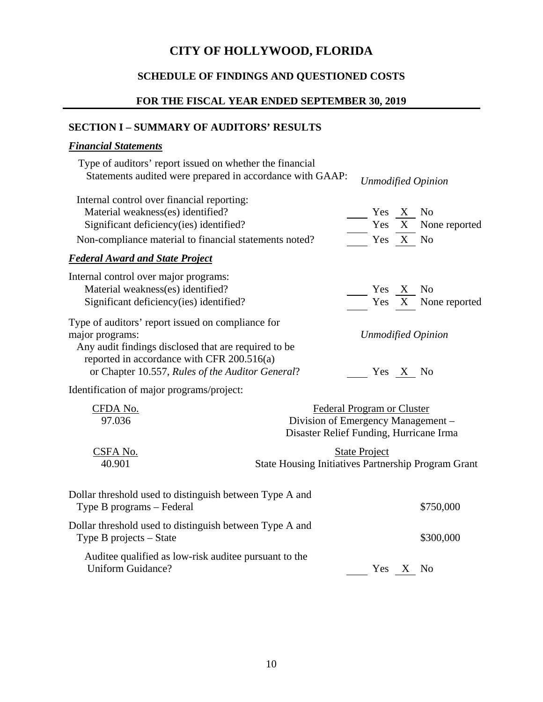# **SCHEDULE OF FINDINGS AND QUESTIONED COSTS**

# **FOR THE FISCAL YEAR ENDED SEPTEMBER 30, 2019**

# **SECTION I – SUMMARY OF AUDITORS' RESULTS**

# *Financial Statements*

| Type of auditors' report issued on whether the financial<br>Statements audited were prepared in accordance with GAAP: |                           |  | <b>Unmodified Opinion</b> |
|-----------------------------------------------------------------------------------------------------------------------|---------------------------|--|---------------------------|
| Internal control over financial reporting:                                                                            |                           |  |                           |
| Material weakness(es) identified?                                                                                     | Yes X No                  |  |                           |
| Significant deficiency (ies) identified?                                                                              |                           |  | Yes X None reported       |
| Non-compliance material to financial statements noted?                                                                | Yes X No                  |  |                           |
| <b>Federal Award and State Project</b>                                                                                |                           |  |                           |
| Internal control over major programs:                                                                                 |                           |  |                           |
| Material weakness(es) identified?                                                                                     | Yes X No                  |  |                           |
| Significant deficiency (ies) identified?                                                                              |                           |  | Yes X None reported       |
| Type of auditors' report issued on compliance for                                                                     |                           |  |                           |
| major programs:                                                                                                       | <b>Unmodified Opinion</b> |  |                           |
| Any audit findings disclosed that are required to be                                                                  |                           |  |                           |
| reported in accordance with CFR $200.516(a)$                                                                          |                           |  |                           |
| or Chapter 10.557, Rules of the Auditor General?                                                                      | Yes.                      |  | N <sub>0</sub>            |
|                                                                                                                       |                           |  |                           |

Identification of major programs/project:

| CFDA No. | Federal Program or Cluster                                 |
|----------|------------------------------------------------------------|
| 97.036   | Division of Emergency Management –                         |
|          | Disaster Relief Funding, Hurricane Irma                    |
| CSFA No. | <b>State Project</b>                                       |
| 40.901   | <b>State Housing Initiatives Partnership Program Grant</b> |
|          |                                                            |

| Dollar threshold used to distinguish between Type A and<br>Type B programs – Federal |          | \$750,000 |
|--------------------------------------------------------------------------------------|----------|-----------|
| Dollar threshold used to distinguish between Type A and<br>Type B projects $-$ State |          | \$300,000 |
| Auditee qualified as low-risk auditee pursuant to the<br>Uniform Guidance?           | Yes X No |           |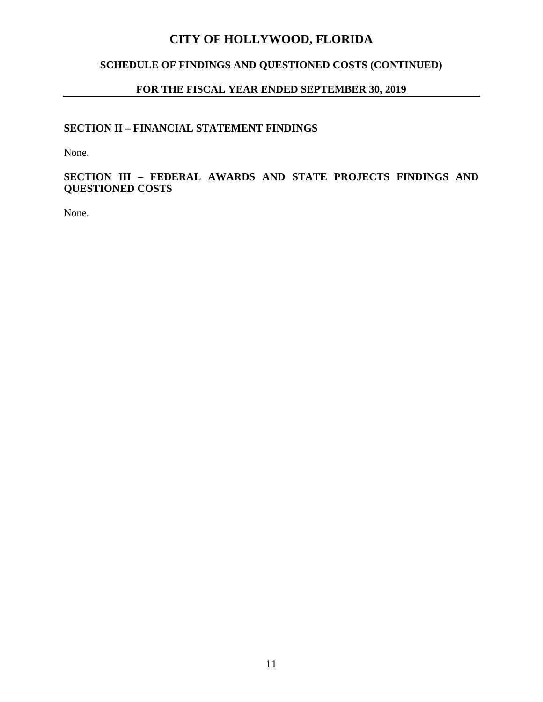# **SCHEDULE OF FINDINGS AND QUESTIONED COSTS (CONTINUED)**

# **FOR THE FISCAL YEAR ENDED SEPTEMBER 30, 2019**

# **SECTION II – FINANCIAL STATEMENT FINDINGS**

None.

**SECTION III – FEDERAL AWARDS AND STATE PROJECTS FINDINGS AND QUESTIONED COSTS**

None.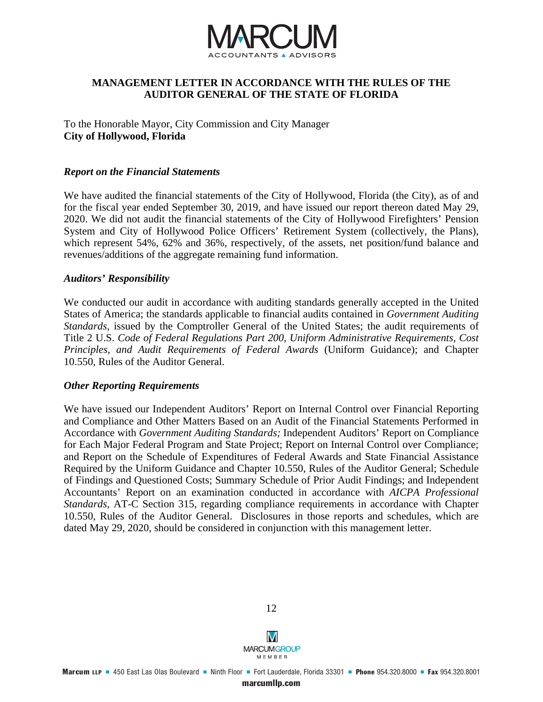

# **MANAGEMENT LETTER IN ACCORDANCE WITH THE RULES OF THE AUDITOR GENERAL OF THE STATE OF FLORIDA**

To the Honorable Mayor, City Commission and City Manager **City of Hollywood, Florida**

#### *Report on the Financial Statements*

We have audited the financial statements of the City of Hollywood, Florida (the City), as of and for the fiscal year ended September 30, 2019, and have issued our report thereon dated May 29, 2020. We did not audit the financial statements of the City of Hollywood Firefighters' Pension System and City of Hollywood Police Officers' Retirement System (collectively, the Plans), which represent 54%, 62% and 36%, respectively, of the assets, net position/fund balance and revenues/additions of the aggregate remaining fund information.

#### *Auditors' Responsibility*

We conducted our audit in accordance with auditing standards generally accepted in the United States of America; the standards applicable to financial audits contained in *Government Auditing Standards,* issued by the Comptroller General of the United States; the audit requirements of Title 2 U.S. *Code of Federal Regulations Part 200, Uniform Administrative Requirements, Cost Principles, and Audit Requirements of Federal Awards* (Uniform Guidance); and Chapter 10.550, Rules of the Auditor General.

#### *Other Reporting Requirements*

We have issued our Independent Auditors' Report on Internal Control over Financial Reporting and Compliance and Other Matters Based on an Audit of the Financial Statements Performed in Accordance with *Government Auditing Standards;* Independent Auditors' Report on Compliance for Each Major Federal Program and State Project; Report on Internal Control over Compliance; and Report on the Schedule of Expenditures of Federal Awards and State Financial Assistance Required by the Uniform Guidance and Chapter 10.550, Rules of the Auditor General; Schedule of Findings and Questioned Costs; Summary Schedule of Prior Audit Findings; and Independent Accountants' Report on an examination conducted in accordance with *AICPA Professional Standards*, AT-C Section 315, regarding compliance requirements in accordance with Chapter 10.550, Rules of the Auditor General. Disclosures in those reports and schedules, which are dated May 29, 2020, should be considered in conjunction with this management letter.



12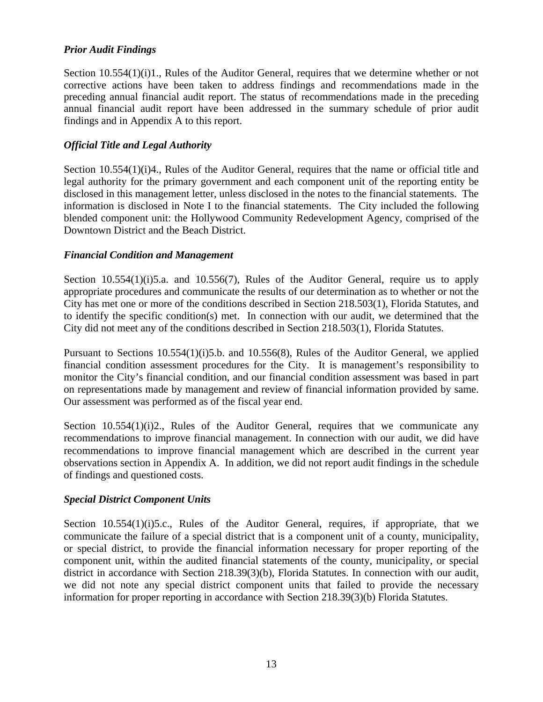# *Prior Audit Findings*

Section 10.554(1)(i)1., Rules of the Auditor General, requires that we determine whether or not corrective actions have been taken to address findings and recommendations made in the preceding annual financial audit report. The status of recommendations made in the preceding annual financial audit report have been addressed in the summary schedule of prior audit findings and in Appendix A to this report.

# *Official Title and Legal Authority*

Section 10.554(1)(i)4., Rules of the Auditor General, requires that the name or official title and legal authority for the primary government and each component unit of the reporting entity be disclosed in this management letter, unless disclosed in the notes to the financial statements. The information is disclosed in Note I to the financial statements. The City included the following blended component unit: the Hollywood Community Redevelopment Agency, comprised of the Downtown District and the Beach District.

# *Financial Condition and Management*

Section 10.554(1)(i)5.a. and 10.556(7), Rules of the Auditor General, require us to apply appropriate procedures and communicate the results of our determination as to whether or not the City has met one or more of the conditions described in Section 218.503(1), Florida Statutes, and to identify the specific condition(s) met. In connection with our audit, we determined that the City did not meet any of the conditions described in Section 218.503(1), Florida Statutes.

Pursuant to Sections 10.554(1)(i)5.b. and 10.556(8), Rules of the Auditor General, we applied financial condition assessment procedures for the City. It is management's responsibility to monitor the City's financial condition, and our financial condition assessment was based in part on representations made by management and review of financial information provided by same. Our assessment was performed as of the fiscal year end.

Section  $10.554(1)(i)2$ , Rules of the Auditor General, requires that we communicate any recommendations to improve financial management. In connection with our audit, we did have recommendations to improve financial management which are described in the current year observations section in Appendix A. In addition, we did not report audit findings in the schedule of findings and questioned costs.

# *Special District Component Units*

Section 10.554(1)(i)5.c., Rules of the Auditor General, requires, if appropriate, that we communicate the failure of a special district that is a component unit of a county, municipality, or special district, to provide the financial information necessary for proper reporting of the component unit, within the audited financial statements of the county, municipality, or special district in accordance with Section 218.39(3)(b), Florida Statutes. In connection with our audit, we did not note any special district component units that failed to provide the necessary information for proper reporting in accordance with Section 218.39(3)(b) Florida Statutes.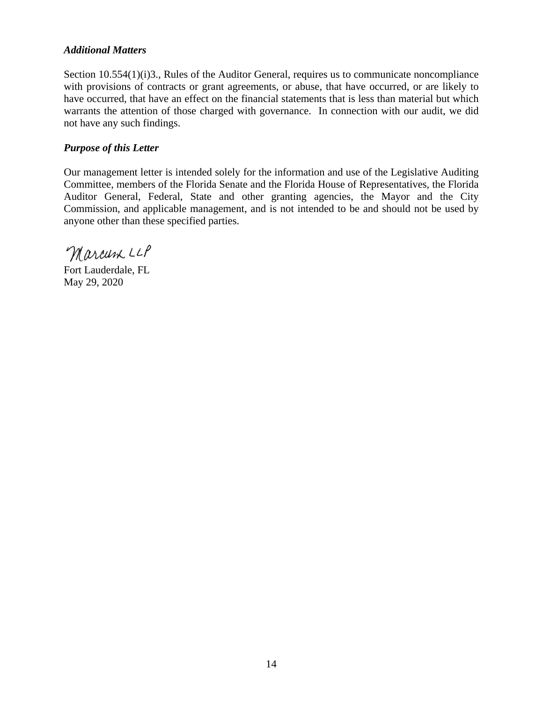# *Additional Matters*

Section 10.554(1)(i)3., Rules of the Auditor General, requires us to communicate noncompliance with provisions of contracts or grant agreements, or abuse, that have occurred, or are likely to have occurred, that have an effect on the financial statements that is less than material but which warrants the attention of those charged with governance. In connection with our audit, we did not have any such findings.

# *Purpose of this Letter*

Our management letter is intended solely for the information and use of the Legislative Auditing Committee, members of the Florida Senate and the Florida House of Representatives, the Florida Auditor General, Federal, State and other granting agencies, the Mayor and the City Commission, and applicable management, and is not intended to be and should not be used by anyone other than these specified parties.

Marcum LLP

Fort Lauderdale, FL May 29, 2020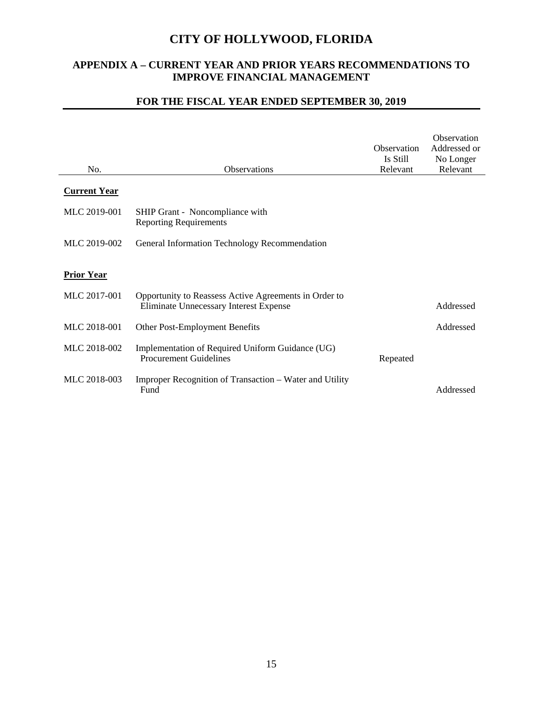# **APPENDIX A – CURRENT YEAR AND PRIOR YEARS RECOMMENDATIONS TO IMPROVE FINANCIAL MANAGEMENT**

# **FOR THE FISCAL YEAR ENDED SEPTEMBER 30, 2019**

 $\overline{a}$ 

| No.                 | Observations                                                                                    | Observation<br>Is Still<br>Relevant | Observation<br>Addressed or<br>No Longer<br>Relevant |
|---------------------|-------------------------------------------------------------------------------------------------|-------------------------------------|------------------------------------------------------|
| <b>Current Year</b> |                                                                                                 |                                     |                                                      |
| MLC 2019-001        | SHIP Grant - Noncompliance with<br><b>Reporting Requirements</b>                                |                                     |                                                      |
| MLC 2019-002        | General Information Technology Recommendation                                                   |                                     |                                                      |
| <b>Prior Year</b>   |                                                                                                 |                                     |                                                      |
| MLC 2017-001        | Opportunity to Reassess Active Agreements in Order to<br>Eliminate Unnecessary Interest Expense |                                     | Addressed                                            |
| MLC 2018-001        | Other Post-Employment Benefits                                                                  |                                     | Addressed                                            |
| MLC 2018-002        | Implementation of Required Uniform Guidance (UG)<br><b>Procurement Guidelines</b>               | Repeated                            |                                                      |
| MLC 2018-003        | Improper Recognition of Transaction – Water and Utility<br>Fund                                 |                                     | Addressed                                            |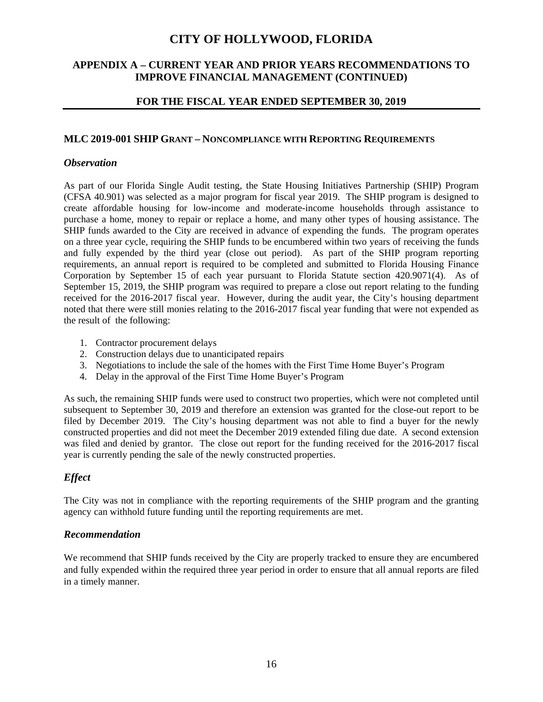# **APPENDIX A – CURRENT YEAR AND PRIOR YEARS RECOMMENDATIONS TO IMPROVE FINANCIAL MANAGEMENT (CONTINUED)**

### **FOR THE FISCAL YEAR ENDED SEPTEMBER 30, 2019**

#### **MLC 2019-001 SHIP GRANT – NONCOMPLIANCE WITH REPORTING REQUIREMENTS**

#### *Observation*

As part of our Florida Single Audit testing, the State Housing Initiatives Partnership (SHIP) Program (CFSA 40.901) was selected as a major program for fiscal year 2019. The SHIP program is designed to create affordable housing for low-income and moderate-income households through assistance to purchase a home, money to repair or replace a home, and many other types of housing assistance. The SHIP funds awarded to the City are received in advance of expending the funds. The program operates on a three year cycle, requiring the SHIP funds to be encumbered within two years of receiving the funds and fully expended by the third year (close out period). As part of the SHIP program reporting requirements, an annual report is required to be completed and submitted to Florida Housing Finance Corporation by September 15 of each year pursuant to Florida Statute section 420.9071(4). As of September 15, 2019, the SHIP program was required to prepare a close out report relating to the funding received for the 2016-2017 fiscal year. However, during the audit year, the City's housing department noted that there were still monies relating to the 2016-2017 fiscal year funding that were not expended as the result of the following:

- 1. Contractor procurement delays
- 2. Construction delays due to unanticipated repairs
- 3. Negotiations to include the sale of the homes with the First Time Home Buyer's Program
- 4. Delay in the approval of the First Time Home Buyer's Program

As such, the remaining SHIP funds were used to construct two properties, which were not completed until subsequent to September 30, 2019 and therefore an extension was granted for the close-out report to be filed by December 2019. The City's housing department was not able to find a buyer for the newly constructed properties and did not meet the December 2019 extended filing due date. A second extension was filed and denied by grantor. The close out report for the funding received for the 2016-2017 fiscal year is currently pending the sale of the newly constructed properties.

# *Effect*

The City was not in compliance with the reporting requirements of the SHIP program and the granting agency can withhold future funding until the reporting requirements are met.

# *Recommendation*

We recommend that SHIP funds received by the City are properly tracked to ensure they are encumbered and fully expended within the required three year period in order to ensure that all annual reports are filed in a timely manner.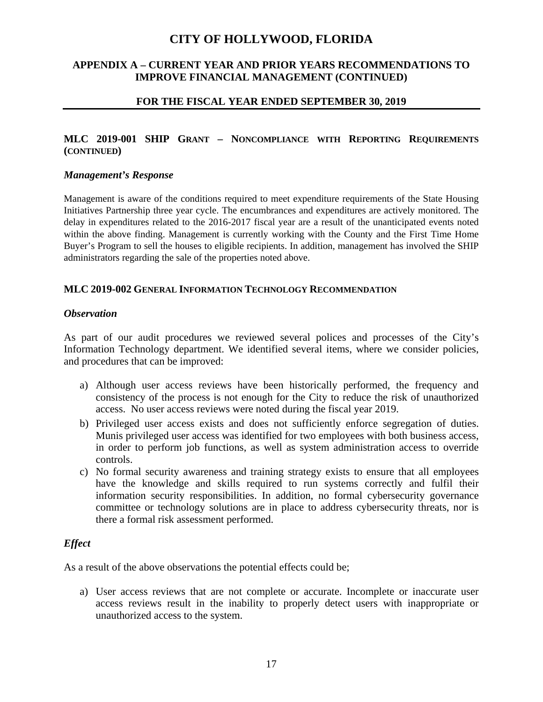# **APPENDIX A – CURRENT YEAR AND PRIOR YEARS RECOMMENDATIONS TO IMPROVE FINANCIAL MANAGEMENT (CONTINUED)**

#### **FOR THE FISCAL YEAR ENDED SEPTEMBER 30, 2019**

# **MLC 2019-001 SHIP GRANT – NONCOMPLIANCE WITH REPORTING REQUIREMENTS (CONTINUED)**

#### *Management's Response*

Management is aware of the conditions required to meet expenditure requirements of the State Housing Initiatives Partnership three year cycle. The encumbrances and expenditures are actively monitored. The delay in expenditures related to the 2016-2017 fiscal year are a result of the unanticipated events noted within the above finding. Management is currently working with the County and the First Time Home Buyer's Program to sell the houses to eligible recipients. In addition, management has involved the SHIP administrators regarding the sale of the properties noted above.

#### **MLC 2019-002 GENERAL INFORMATION TECHNOLOGY RECOMMENDATION**

#### *Observation*

As part of our audit procedures we reviewed several polices and processes of the City's Information Technology department. We identified several items, where we consider policies, and procedures that can be improved:

- a) Although user access reviews have been historically performed, the frequency and consistency of the process is not enough for the City to reduce the risk of unauthorized access. No user access reviews were noted during the fiscal year 2019.
- b) Privileged user access exists and does not sufficiently enforce segregation of duties. Munis privileged user access was identified for two employees with both business access, in order to perform job functions, as well as system administration access to override controls.
- c) No formal security awareness and training strategy exists to ensure that all employees have the knowledge and skills required to run systems correctly and fulfil their information security responsibilities. In addition, no formal cybersecurity governance committee or technology solutions are in place to address cybersecurity threats, nor is there a formal risk assessment performed.

#### *Effect*

As a result of the above observations the potential effects could be;

a) User access reviews that are not complete or accurate. Incomplete or inaccurate user access reviews result in the inability to properly detect users with inappropriate or unauthorized access to the system.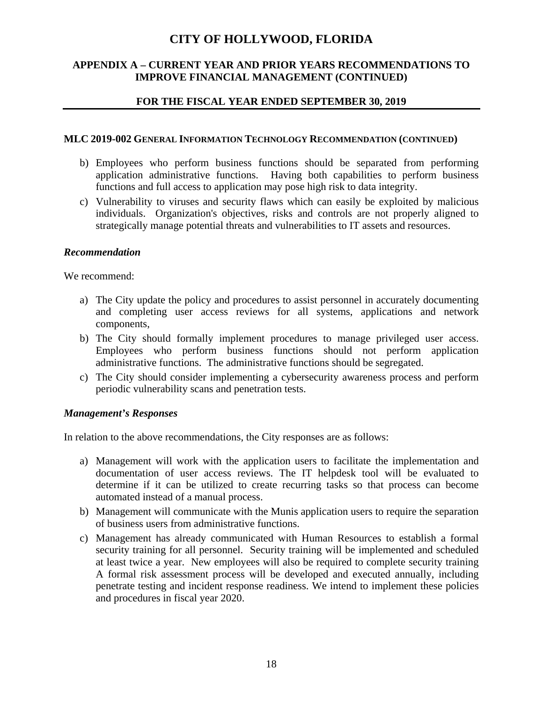# **APPENDIX A – CURRENT YEAR AND PRIOR YEARS RECOMMENDATIONS TO IMPROVE FINANCIAL MANAGEMENT (CONTINUED)**

# **FOR THE FISCAL YEAR ENDED SEPTEMBER 30, 2019**

#### **MLC 2019-002 GENERAL INFORMATION TECHNOLOGY RECOMMENDATION (CONTINUED)**

- b) Employees who perform business functions should be separated from performing application administrative functions. Having both capabilities to perform business functions and full access to application may pose high risk to data integrity.
- c) Vulnerability to viruses and security flaws which can easily be exploited by malicious individuals. Organization's objectives, risks and controls are not properly aligned to strategically manage potential threats and vulnerabilities to IT assets and resources.

#### *Recommendation*

We recommend:

- a) The City update the policy and procedures to assist personnel in accurately documenting and completing user access reviews for all systems, applications and network components,
- b) The City should formally implement procedures to manage privileged user access. Employees who perform business functions should not perform application administrative functions. The administrative functions should be segregated.
- c) The City should consider implementing a cybersecurity awareness process and perform periodic vulnerability scans and penetration tests.

# *Management's Responses*

In relation to the above recommendations, the City responses are as follows:

- a) Management will work with the application users to facilitate the implementation and documentation of user access reviews. The IT helpdesk tool will be evaluated to determine if it can be utilized to create recurring tasks so that process can become automated instead of a manual process.
- b) Management will communicate with the Munis application users to require the separation of business users from administrative functions.
- c) Management has already communicated with Human Resources to establish a formal security training for all personnel. Security training will be implemented and scheduled at least twice a year. New employees will also be required to complete security training A formal risk assessment process will be developed and executed annually, including penetrate testing and incident response readiness. We intend to implement these policies and procedures in fiscal year 2020.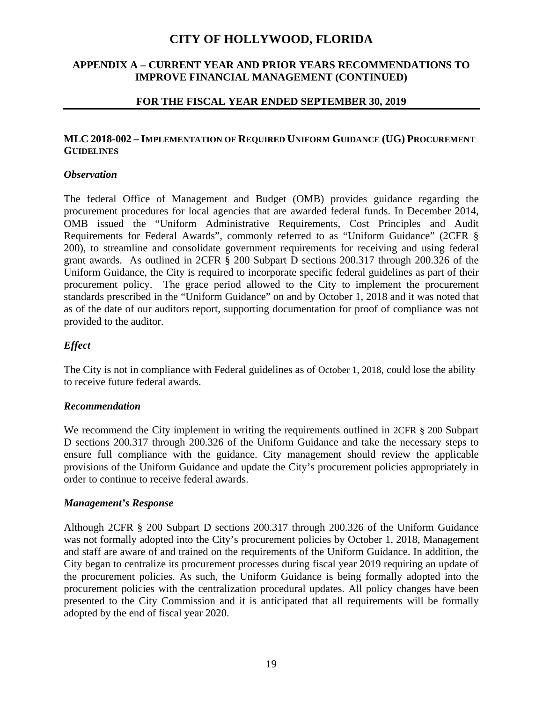# **APPENDIX A – CURRENT YEAR AND PRIOR YEARS RECOMMENDATIONS TO IMPROVE FINANCIAL MANAGEMENT (CONTINUED)**

### **FOR THE FISCAL YEAR ENDED SEPTEMBER 30, 2019**

# **MLC 2018-002 – IMPLEMENTATION OF REQUIRED UNIFORM GUIDANCE (UG) PROCUREMENT GUIDELINES**

#### *Observation*

The federal Office of Management and Budget (OMB) provides guidance regarding the procurement procedures for local agencies that are awarded federal funds. In December 2014, OMB issued the "Uniform Administrative Requirements, Cost Principles and Audit Requirements for Federal Awards", commonly referred to as "Uniform Guidance" (2CFR § 200), to streamline and consolidate government requirements for receiving and using federal grant awards. As outlined in 2CFR § 200 Subpart D sections 200.317 through 200.326 of the Uniform Guidance, the City is required to incorporate specific federal guidelines as part of their procurement policy. The grace period allowed to the City to implement the procurement standards prescribed in the "Uniform Guidance" on and by October 1, 2018 and it was noted that as of the date of our auditors report, supporting documentation for proof of compliance was not provided to the auditor.

# *Effect*

The City is not in compliance with Federal guidelines as of October 1, 2018, could lose the ability to receive future federal awards.

# *Recommendation*

We recommend the City implement in writing the requirements outlined in 2CFR § 200 Subpart D sections 200.317 through 200.326 of the Uniform Guidance and take the necessary steps to ensure full compliance with the guidance. City management should review the applicable provisions of the Uniform Guidance and update the City's procurement policies appropriately in order to continue to receive federal awards.

#### *Management's Response*

Although 2CFR § 200 Subpart D sections 200.317 through 200.326 of the Uniform Guidance was not formally adopted into the City's procurement policies by October 1, 2018, Management and staff are aware of and trained on the requirements of the Uniform Guidance. In addition, the City began to centralize its procurement processes during fiscal year 2019 requiring an update of the procurement policies. As such, the Uniform Guidance is being formally adopted into the procurement policies with the centralization procedural updates. All policy changes have been presented to the City Commission and it is anticipated that all requirements will be formally adopted by the end of fiscal year 2020.